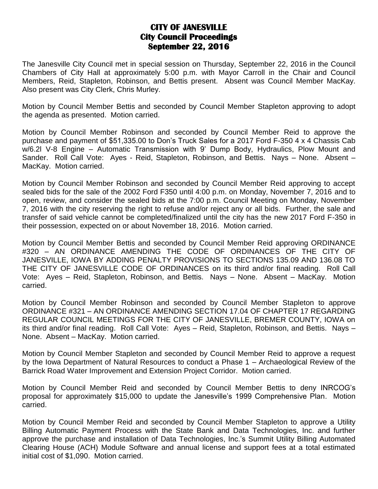## **CITY OF JANESVILLE City Council Proceedings September 22, 2016**

The Janesville City Council met in special session on Thursday, September 22, 2016 in the Council Chambers of City Hall at approximately 5:00 p.m. with Mayor Carroll in the Chair and Council Members, Reid, Stapleton, Robinson, and Bettis present. Absent was Council Member MacKay. Also present was City Clerk, Chris Murley.

Motion by Council Member Bettis and seconded by Council Member Stapleton approving to adopt the agenda as presented. Motion carried.

Motion by Council Member Robinson and seconded by Council Member Reid to approve the purchase and payment of \$51,335.00 to Don's Truck Sales for a 2017 Ford F-350 4 x 4 Chassis Cab w/6.2l V-8 Engine – Automatic Transmission with 9' Dump Body, Hydraulics, Plow Mount and Sander. Roll Call Vote: Ayes - Reid, Stapleton, Robinson, and Bettis. Nays – None. Absent – MacKay. Motion carried.

Motion by Council Member Robinson and seconded by Council Member Reid approving to accept sealed bids for the sale of the 2002 Ford F350 until 4:00 p.m. on Monday, November 7, 2016 and to open, review, and consider the sealed bids at the 7:00 p.m. Council Meeting on Monday, November 7, 2016 with the city reserving the right to refuse and/or reject any or all bids. Further, the sale and transfer of said vehicle cannot be completed/finalized until the city has the new 2017 Ford F-350 in their possession, expected on or about November 18, 2016. Motion carried.

Motion by Council Member Bettis and seconded by Council Member Reid approving ORDINANCE #320 – AN ORDINANCE AMENDING THE CODE OF ORDINANCES OF THE CITY OF JANESVILLE, IOWA BY ADDING PENALTY PROVISIONS TO SECTIONS 135.09 AND 136.08 TO THE CITY OF JANESVILLE CODE OF ORDINANCES on its third and/or final reading. Roll Call Vote: Ayes – Reid, Stapleton, Robinson, and Bettis. Nays – None. Absent – MacKay. Motion carried.

Motion by Council Member Robinson and seconded by Council Member Stapleton to approve ORDINANCE #321 – AN ORDINANCE AMENDING SECTION 17.04 OF CHAPTER 17 REGARDING REGULAR COUNCIL MEETINGS FOR THE CITY OF JANESVILLE, BREMER COUNTY, IOWA on its third and/or final reading. Roll Call Vote: Ayes – Reid, Stapleton, Robinson, and Bettis. Nays – None. Absent – MacKay. Motion carried.

Motion by Council Member Stapleton and seconded by Council Member Reid to approve a request by the Iowa Department of Natural Resources to conduct a Phase 1 – Archaeological Review of the Barrick Road Water Improvement and Extension Project Corridor. Motion carried.

Motion by Council Member Reid and seconded by Council Member Bettis to deny INRCOG's proposal for approximately \$15,000 to update the Janesville's 1999 Comprehensive Plan. Motion carried.

Motion by Council Member Reid and seconded by Council Member Stapleton to approve a Utility Billing Automatic Payment Process with the State Bank and Data Technologies, Inc. and further approve the purchase and installation of Data Technologies, Inc.'s Summit Utility Billing Automated Clearing House (ACH) Module Software and annual license and support fees at a total estimated initial cost of \$1,090. Motion carried.